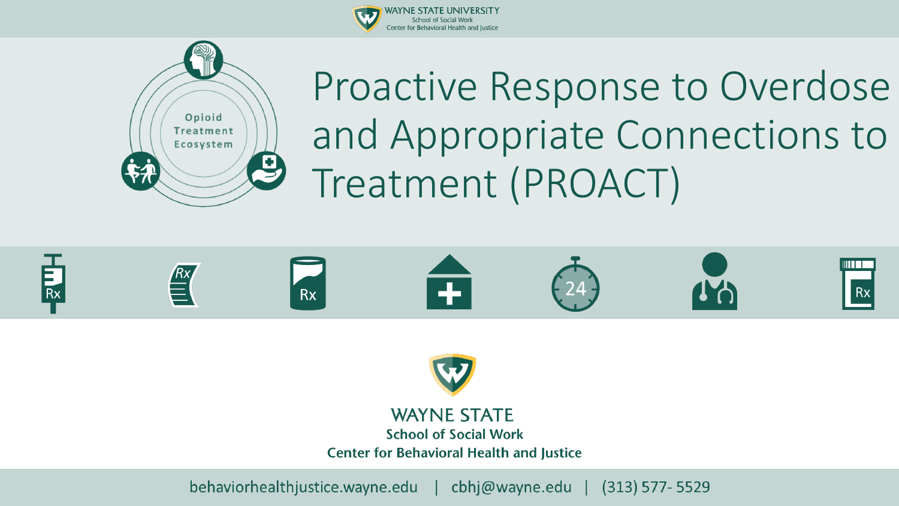



Proactive Response to Overdose and Appropriate Connections to Treatment (PROACT)





**Center for Behavioral Health and Justice**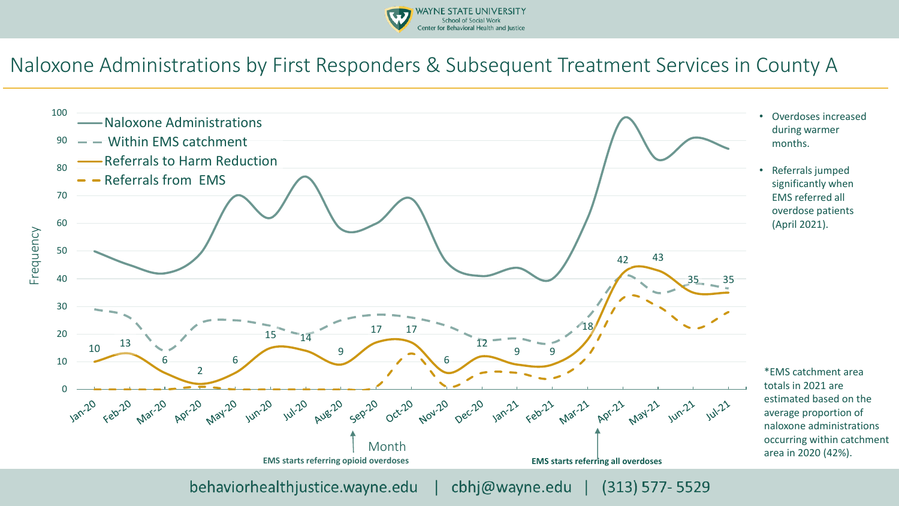

#### Naloxone Administrations by First Responders & Subsequent Treatment Services in County A

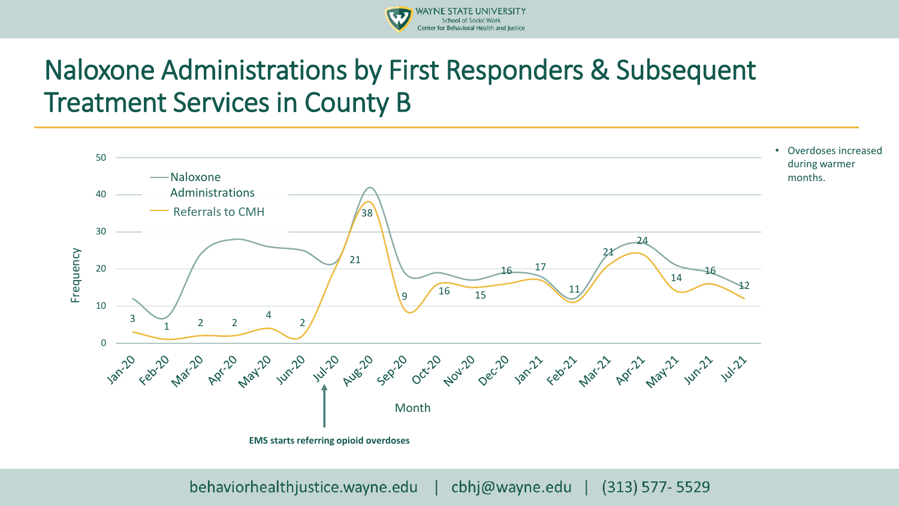

### Naloxone Administrations by First Responders & Subsequent Treatment Services in County B

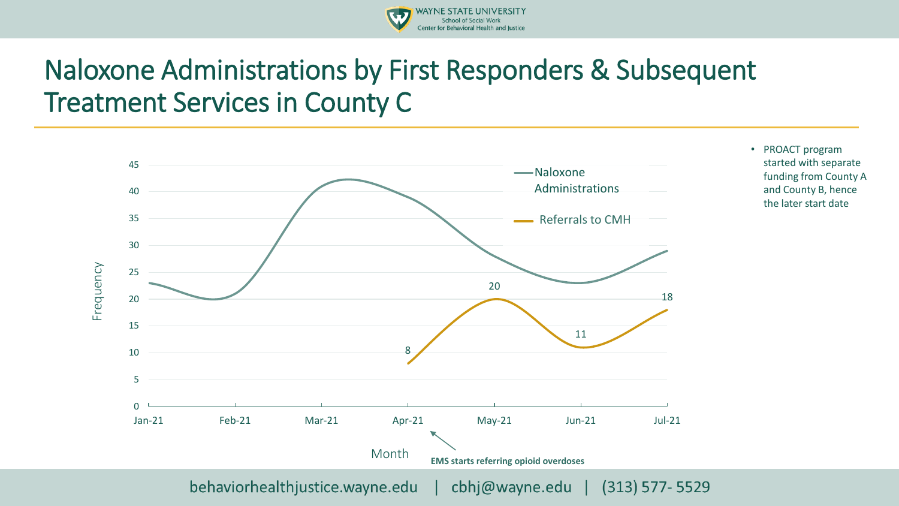

### Naloxone Administrations by First Responders & Subsequent Treatment Services in County C



• PROACT program started with separate funding from County A and County B, hence the later start date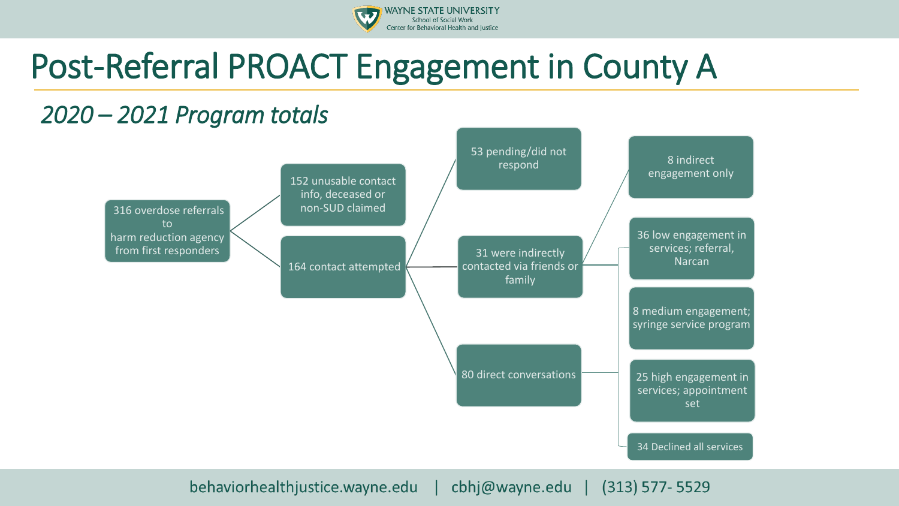

# Post-Referral PROACT Engagement in County A

#### *2020 – 2021 Program totals*

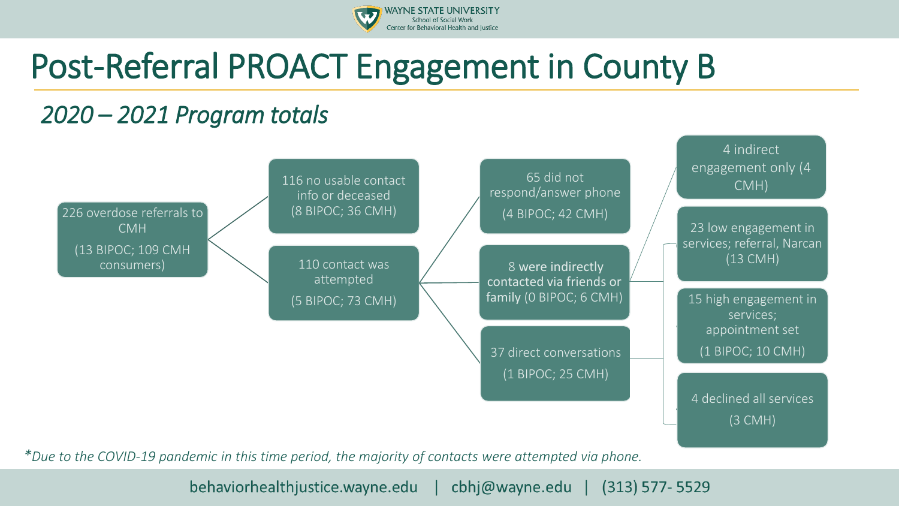

# Post-Referral PROACT Engagement in County B

### *2020 – 2021 Program totals*



*\*Due to the COVID-19 pandemic in this time period, the majority of contacts were attempted via phone.*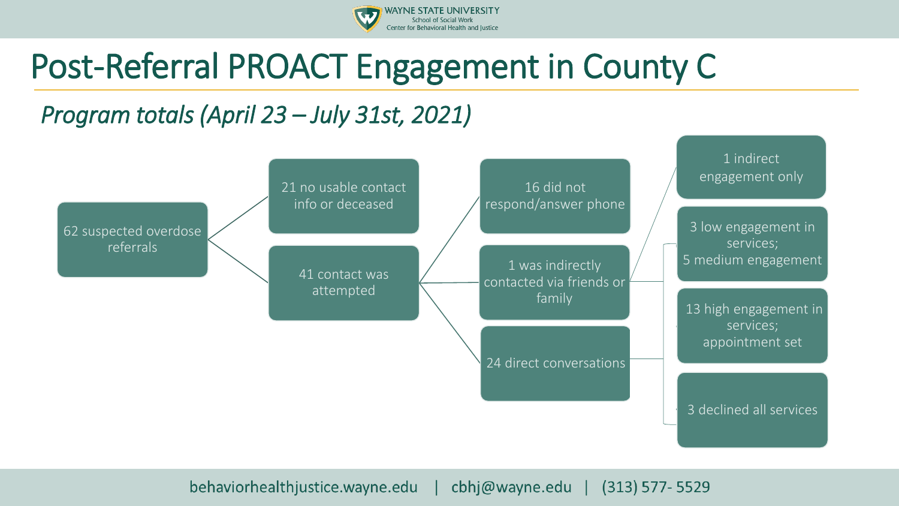

## Post-Referral PROACT Engagement in County C

### *Program totals (April 23 – July 31st, 2021)*

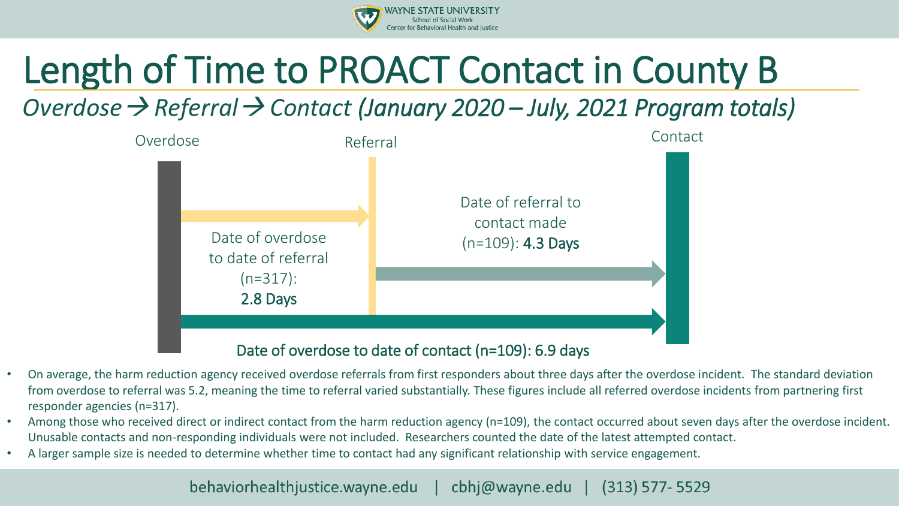

# Length of Time to PROACT Contact in County B

*Overdose*→ *Referral*→ *Contact (January 2020 – July, 2021 Program totals)*



#### Date of overdose to date of contact (n=109): 6.9 days

- On average, the harm reduction agency received overdose referrals from first responders about three days after the overdose incident. The standard deviation from overdose to referral was 5.2, meaning the time to referral varied substantially. These figures include all referred overdose incidents from partnering first responder agencies (n=317).
- Among those who received direct or indirect contact from the harm reduction agency (n=109), the contact occurred about seven days after the overdose incident. Unusable contacts and non-responding individuals were not included. Researchers counted the date of the latest attempted contact.
- A larger sample size is needed to determine whether time to contact had any significant relationship with service engagement.